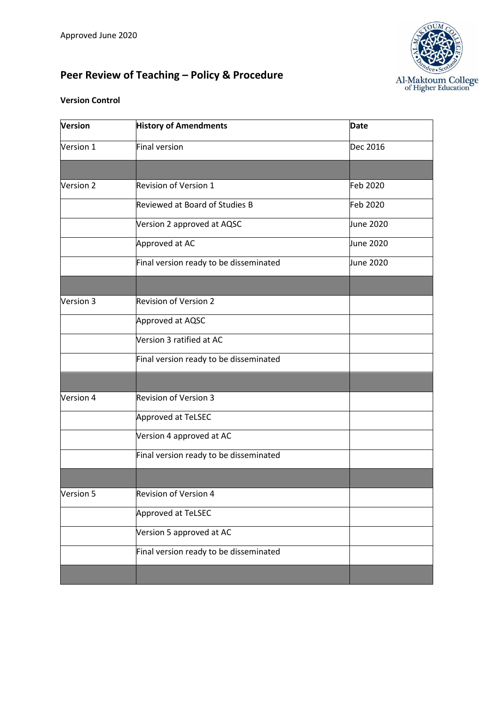# **Peer Review of Teaching – Policy & Procedure**



#### **Version Control**

| Version   | <b>History of Amendments</b>           | <b>Date</b> |
|-----------|----------------------------------------|-------------|
| Version 1 | Final version                          | Dec 2016    |
|           |                                        |             |
| Version 2 | Revision of Version 1                  | Feb 2020    |
|           | Reviewed at Board of Studies B         | Feb 2020    |
|           | Version 2 approved at AQSC             | June 2020   |
|           | Approved at AC                         | June 2020   |
|           | Final version ready to be disseminated | June 2020   |
|           |                                        |             |
| Version 3 | <b>Revision of Version 2</b>           |             |
|           | Approved at AQSC                       |             |
|           | Version 3 ratified at AC               |             |
|           | Final version ready to be disseminated |             |
|           |                                        |             |
| Version 4 | <b>Revision of Version 3</b>           |             |
|           | Approved at TeLSEC                     |             |
|           | Version 4 approved at AC               |             |
|           | Final version ready to be disseminated |             |
|           |                                        |             |
| Version 5 | Revision of Version 4                  |             |
|           | Approved at TeLSEC                     |             |
|           | Version 5 approved at AC               |             |
|           | Final version ready to be disseminated |             |
|           |                                        |             |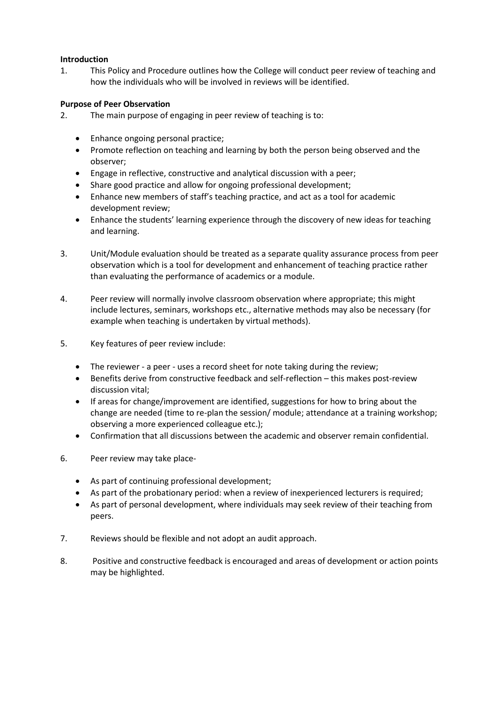#### **Introduction**

1. This Policy and Procedure outlines how the College will conduct peer review of teaching and how the individuals who will be involved in reviews will be identified.

#### **Purpose of Peer Observation**

- 2. The main purpose of engaging in peer review of teaching is to:
	- Enhance ongoing personal practice;
	- Promote reflection on teaching and learning by both the person being observed and the observer;
	- Engage in reflective, constructive and analytical discussion with a peer;
	- Share good practice and allow for ongoing professional development;
	- Enhance new members of staff's teaching practice, and act as a tool for academic development review;
	- Enhance the students' learning experience through the discovery of new ideas for teaching and learning.
- 3. Unit/Module evaluation should be treated as a separate quality assurance process from peer observation which is a tool for development and enhancement of teaching practice rather than evaluating the performance of academics or a module.
- 4. Peer review will normally involve classroom observation where appropriate; this might include lectures, seminars, workshops etc., alternative methods may also be necessary (for example when teaching is undertaken by virtual methods).
- 5. Key features of peer review include:
	- The reviewer a peer uses a record sheet for note taking during the review;
	- Benefits derive from constructive feedback and self-reflection this makes post-review discussion vital;
	- If areas for change/improvement are identified, suggestions for how to bring about the change are needed (time to re-plan the session/ module; attendance at a training workshop; observing a more experienced colleague etc.);
	- Confirmation that all discussions between the academic and observer remain confidential.
- 6. Peer review may take place-
	- As part of continuing professional development;
	- As part of the probationary period: when a review of inexperienced lecturers is required;
	- As part of personal development, where individuals may seek review of their teaching from peers.
- 7. Reviews should be flexible and not adopt an audit approach.
- 8. Positive and constructive feedback is encouraged and areas of development or action points may be highlighted.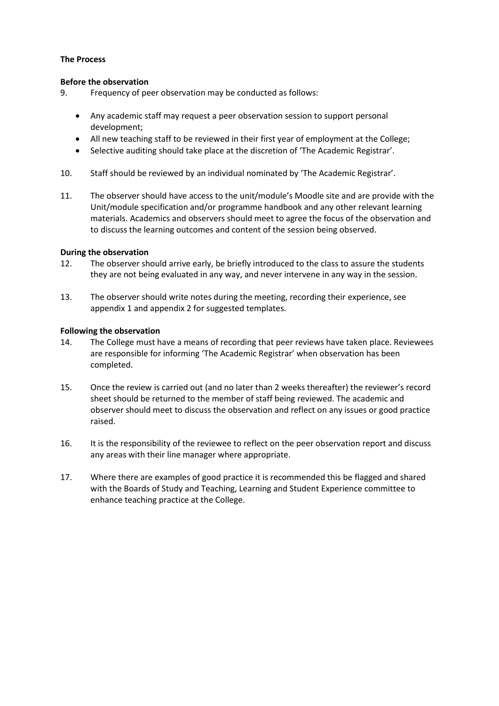#### **The Process**

#### **Before the observation**

9. Frequency of peer observation may be conducted as follows:

- Any academic staff may request a peer observation session to support personal development;
- All new teaching staff to be reviewed in their first year of employment at the College;
- Selective auditing should take place at the discretion of 'The Academic Registrar'.
- 10. Staff should be reviewed by an individual nominated by 'The Academic Registrar'.
- 11. The observer should have access to the unit/module's Moodle site and are provide with the Unit/module specification and/or programme handbook and any other relevant learning materials. Academics and observers should meet to agree the focus of the observation and to discuss the learning outcomes and content of the session being observed.

#### **During the observation**

- 12. The observer should arrive early, be briefly introduced to the class to assure the students they are not being evaluated in any way, and never intervene in any way in the session.
- 13. The observer should write notes during the meeting, recording their experience, see appendix 1 and appendix 2 for suggested templates.

#### **Following the observation**

- 14. The College must have a means of recording that peer reviews have taken place. Reviewees are responsible for informing 'The Academic Registrar' when observation has been completed.
- 15. Once the review is carried out (and no later than 2 weeks thereafter) the reviewer's record sheet should be returned to the member of staff being reviewed. The academic and observer should meet to discuss the observation and reflect on any issues or good practice raised.
- 16. It is the responsibility of the reviewee to reflect on the peer observation report and discuss any areas with their line manager where appropriate.
- 17. Where there are examples of good practice it is recommended this be flagged and shared with the Boards of Study and Teaching, Learning and Student Experience committee to enhance teaching practice at the College.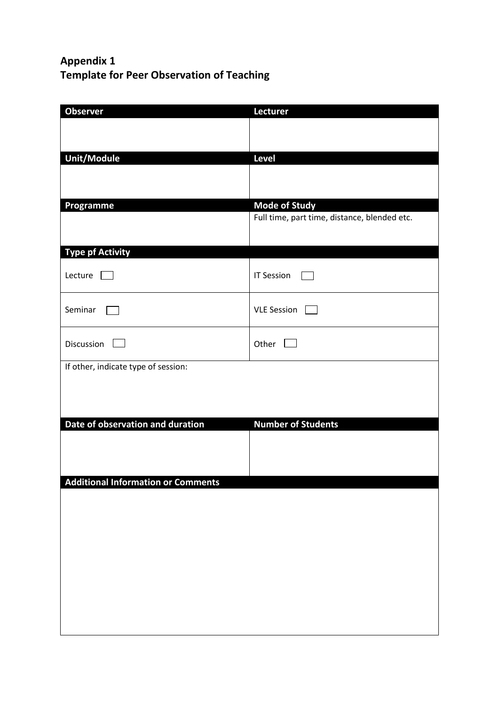## **Appendix 1 Template for Peer Observation of Teaching**

| <b>Observer</b>                           | Lecturer                                     |
|-------------------------------------------|----------------------------------------------|
|                                           |                                              |
|                                           |                                              |
| Unit/Module                               | Level                                        |
|                                           |                                              |
|                                           |                                              |
| Programme                                 | <b>Mode of Study</b>                         |
|                                           | Full time, part time, distance, blended etc. |
|                                           |                                              |
| <b>Type pf Activity</b>                   |                                              |
|                                           |                                              |
| Lecture                                   | <b>IT Session</b>                            |
|                                           |                                              |
| Seminar                                   | VLE Session                                  |
|                                           |                                              |
| Discussion                                | Other [                                      |
|                                           |                                              |
| If other, indicate type of session:       |                                              |
|                                           |                                              |
|                                           |                                              |
| Date of observation and duration          | <b>Number of Students</b>                    |
|                                           |                                              |
|                                           |                                              |
|                                           |                                              |
| <b>Additional Information or Comments</b> |                                              |
|                                           |                                              |
|                                           |                                              |
|                                           |                                              |
|                                           |                                              |
|                                           |                                              |
|                                           |                                              |
|                                           |                                              |
|                                           |                                              |
|                                           |                                              |
|                                           |                                              |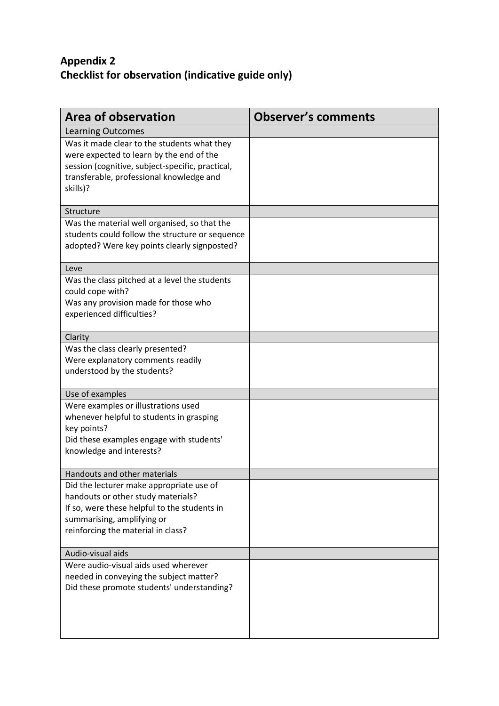### **Appendix 2 Checklist for observation (indicative guide only)**

| <b>Area of observation</b>                                                                                                                                                                          | <b>Observer's comments</b> |
|-----------------------------------------------------------------------------------------------------------------------------------------------------------------------------------------------------|----------------------------|
| <b>Learning Outcomes</b>                                                                                                                                                                            |                            |
| Was it made clear to the students what they<br>were expected to learn by the end of the<br>session (cognitive, subject-specific, practical,<br>transferable, professional knowledge and<br>skills)? |                            |
| Structure                                                                                                                                                                                           |                            |
| Was the material well organised, so that the<br>students could follow the structure or sequence<br>adopted? Were key points clearly signposted?                                                     |                            |
| Leve                                                                                                                                                                                                |                            |
| Was the class pitched at a level the students<br>could cope with?<br>Was any provision made for those who<br>experienced difficulties?                                                              |                            |
| Clarity                                                                                                                                                                                             |                            |
| Was the class clearly presented?<br>Were explanatory comments readily<br>understood by the students?                                                                                                |                            |
| Use of examples                                                                                                                                                                                     |                            |
| Were examples or illustrations used<br>whenever helpful to students in grasping<br>key points?<br>Did these examples engage with students'<br>knowledge and interests?                              |                            |
| Handouts and other materials                                                                                                                                                                        |                            |
| Did the lecturer make appropriate use of<br>handouts or other study materials?<br>If so, were these helpful to the students in<br>summarising, amplifying or<br>reinforcing the material in class?  |                            |
| Audio-visual aids                                                                                                                                                                                   |                            |
| Were audio-visual aids used wherever<br>needed in conveying the subject matter?<br>Did these promote students' understanding?                                                                       |                            |